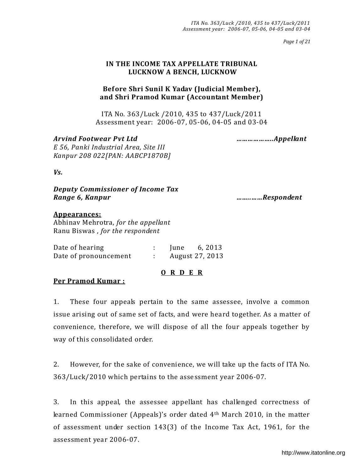*Page 1 of 21*

## **IN THE INCOME TAX APPELLATE TRIBUNAL LUCKNOW A BENCH, LUCKNOW**

# **Bef ore Shri Sunil K Yadav (Judicial Member), and Shri Pramod Kumar (Accountant Member)**

ITA No. 363/Luck /2010, 435 to 437/Luck/2011 Assessment year: 2006-07, 05-06, 04-05 and 03-04

*Arvind Footwear Pvt Ltd ………………..Appellant E 56, Panki Industrial Area, Site III Kanpur 208 022[PAN: AABCP1870B]* 

*Vs.* 

*Deputy Commissioner of Income Tax Range 6, Kanpur ……..……Respondent* 

### **Appearances:**

Abhinav Mehrotra, *for the appellant* Ranu Biswas , *for the respondent*

| Date of hearing       | lune | 6, 2013         |
|-----------------------|------|-----------------|
| Date of pronouncement |      | August 27, 2013 |

### **O R D E R**

#### **Per Pramod Kumar :**

1. These four appeals pertain to the same assessee, involve a common issue arising out of same set of facts, and were heard together. As a matter of convenience, therefore, we will dispose of all the four appeals together by way of this consolidated order.

2. However, for the sake of convenience, we will take up the facts of ITA No. 363/Luck/2010 which pertains to the assessment year 2006-07.

3. In this appeal, the assessee appellant has challenged correctness of learned Commissioner (Appeals)'s order dated 4<sup>th</sup> March 2010, in the matter of assessment under section 143(3) of the Income Tax Act, 1961, for the assessment year 2006-07.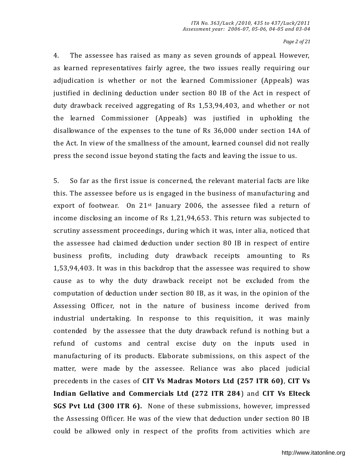#### *Page 2 of 21*

4. The assessee has raised as many as seven grounds of appeal. However, as learned representatives fairly agree, the two issues really requiring our adjudication is whether or not the learned Commissioner (Appeals) was justified in declining deduction under section 80 IB of the Act in respect of duty drawback received aggregating of Rs 1,53,94,403, and whether or not the learned Commissioner (Appeals) was justified in upholding the disallowance of the expenses to the tune of Rs 36,000 under section 14A of the Act. In view of the smallness of the amount, learned counsel did not really press the second issue beyond stating the facts and leaving the issue to us.

5. So far as the first issue is concerned, the relevant material facts are like this. The assessee before us is engaged in the business of manufacturing and export of footwear. On  $21^{st}$  January 2006, the assessee filed a return of income disclosing an income of Rs 1,21,94,653. This return was subjected to scrutiny assessment proceedings, during which it was, inter alia, noticed that the assessee had claimed deduction under section 80 IB in respect of entire business profits, including duty drawback receipts amounting to Rs 1,53,94,403. It was in this backdrop that the assessee was required to show cause as to why the duty drawback receipt not be excluded from the computation of deduction under section 80 IB, as it was, in the opinion of the Assessing Officer, not in the nature of business income derived from industrial undertaking. In response to this requisition, it was mainly contended by the assessee that the duty drawback refund is nothing but a refund of customs and central excise duty on the inputs used in manufacturing of its products. Elaborate submissions, on this aspect of the matter, were made by the assessee. Reliance was also placed judicial precedents in the cases of **CIT Vs Madras Motors Ltd (257 ITR 60)**, **CIT Vs Indian Gellative and Commercials Ltd (272 ITR 284**) and **CIT Vs Elteck SGS Pvt Ltd (300 ITR 6).** None of these submissions, however, impressed the Assessing Officer. He was of the view that deduction under section 80 IB could be allowed only in respect of the profits from activities which are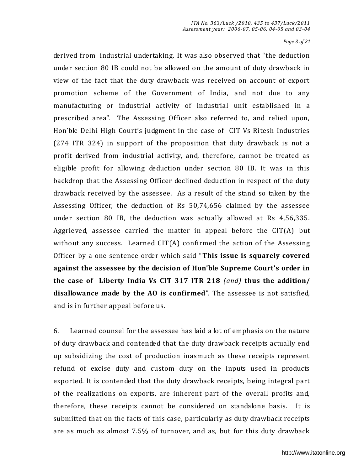#### *Page 3 of 21*

derived from industrial undertaking. It was also observed that "the deduction under section 80 IB could not be allowed on the amount of duty drawback in view of the fact that the duty drawback was received on account of export promotion scheme of the Government of India, and not due to any manufacturing or industrial activity of industrial unit established in a prescribed area". The Assessing Officer also referred to, and relied upon, Hon'ble Delhi High Court's judgment in the case of CIT Vs Ritesh Industries (274 ITR 324) in support of the proposition that duty drawback is not a profit derived from industrial activity, and, therefore, cannot be treated as eligible profit for allowing deduction under section 80 IB. It was in this backdrop that the Assessing Officer declined deduction in respect of the duty drawback received by the assessee. As a result of the stand so taken by the Assessing Officer, the deduction of Rs 50,74,656 claimed by the assessee under section 80 IB, the deduction was actually allowed at Rs 4,56,335. Aggrieved, assessee carried the matter in appeal before the CIT(A) but without any success. Learned CIT(A) confirmed the action of the Assessing Officer by a one sentence order which said "This issue is squarely covered against the assessee by the decision of Hon'ble Supreme Court's order in **the case of Liberty India Vs CIT 317 ITR 218** *(and)* **thus the addition/ disallowance made by the AO is confirmed**". The assessee is not satisfied, and is in further appeal before us.

6. Learned counsel for the assessee has laid a lot of emphasis on the nature of duty drawback and contended that the duty drawback receipts actually end up subsidizing the cost of production inasmuch as these receipts represent refund of excise duty and custom duty on the inputs used in products exported. It is contended that the duty drawback receipts, being integral part of the realizations on exports, are inherent part of the overall profits and, therefore, these receipts cannot be considered on standalone basis. It is submitted that on the facts of this case, particularly as duty drawback receipts are as much as almost 7.5% of turnover, and as, but for this duty drawback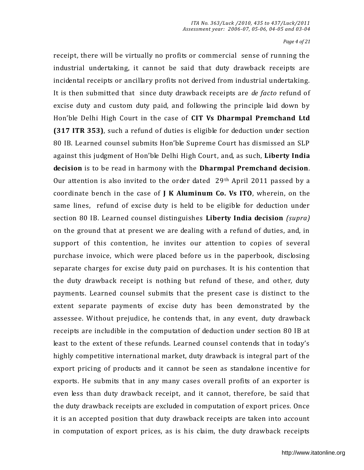*Page 4 of 21*

receipt, there will be virtually no profits or commercial sense of running the industrial undertaking, it cannot be said that duty drawback receipts are incidental receipts or ancillary profits not derived from industrial undertaking. It is then submitted that since duty drawback receipts are *de facto* refund of excise duty and custom duty paid, and following the principle laid down by Hon'ble Delhi High Court in the case of **CIT Vs Dharmpal Premchand Ltd (317 ITR 353)**, such a refund of duties is eligible for deduction under section 80 IB. Learned counsel submits Hon'ble Supreme Court has dismissed an SLP against this judgment of Hon'ble Delhi High Court, and, as such, Liberty India **decision** is to be read in harmony with the **Dharmpal Premchand decision**. Our attention is also invited to the order dated 29th April 2011 passed by a coordinate bench in the case of **J K Aluminum Co. Vs ITO**, wherein, on the same lines, refund of excise duty is held to be eligible for deduction under section 80 IB. Learned counsel distinguishes **Liberty India decision** *(supra)* on the ground that at present we are dealing with a refund of duties, and, in support of this contention, he invites our attention to copies of several purchase invoice, which were placed before us in the paperbook, disclosing separate charges for excise duty paid on purchases. It is his contention that the duty drawback receipt is nothing but refund of these, and other, duty payments. Learned counsel submits that the present case is distinct to the extent separate payments of excise duty has been demonstrated by the assessee. Without prejudice, he contends that, in any event, duty drawback receipts are includible in the computation of deduction under section 80 IB at least to the extent of these refunds. Learned counsel contends that in today's highly competitive international market, duty drawback is integral part of the export pricing of products and it cannot be seen as standalone incentive for exports. He submits that in any many cases overall profits of an exporter is even less than duty drawback receipt, and it cannot, therefore, be said that the duty drawback receipts are excluded in computation of export prices. Once it is an accepted position that duty drawback receipts are taken into account in computation of export prices, as is his claim, the duty drawback receipts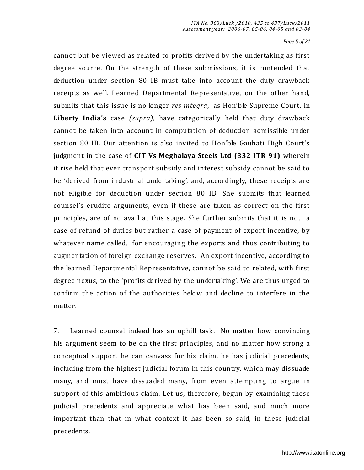*Page 5 of 21*

cannot but be viewed as related to profits derived by the undertaking as first degree source. On the strength of these submissions, it is contended that deduction under section 80 IB must take into account the duty drawback receipts as well. Learned Departmental Representative, on the other hand, submits that this issue is no longer *res integra*, as Hon'ble Supreme Court, in Liberty India's case *(supra)*, have categorically held that duty drawback cannot be taken into account in computation of deduction admissible under section 80 IB. Our attention is also invited to Hon'ble Gauhati High Court's judgment in the case of **CIT Vs Meghalaya Steels Ltd (332 ITR 91)** wherein it rise held that even transport subsidy and interest subsidy cannot be said to be 'derived from industrial undertaking', and, accordingly, these receipts are not eligible for deduction under section 80 IB. She submits that learned counsel's erudite arguments, even if these are taken as correct on the first principles, are of no avail at this stage. She further submits that it is not a case of refund of duties but rather a case of payment of export incentive, by whatever name called, for encouraging the exports and thus contributing to augmentation of foreign exchange reserves. An export incentive, according to the learned Departmental Representative, cannot be said to related, with first degree nexus, to the 'profits derived by the undertaking'. We are thus urged to confirm the action of the authorities below and decline to interfere in the matter.

7. Learned counsel indeed has an uphill task. No matter how convincing his argument seem to be on the first principles, and no matter how strong a conceptual support he can canvass for his claim, he has judicial precedents, including from the highest judicial forum in this country, which may dissuade many, and must have dissuaded many, from even attempting to argue in support of this ambitious claim. Let us, therefore, begun by examining these judicial precedents and appreciate what has been said, and much more important than that in what context it has been so said, in these judicial precedents.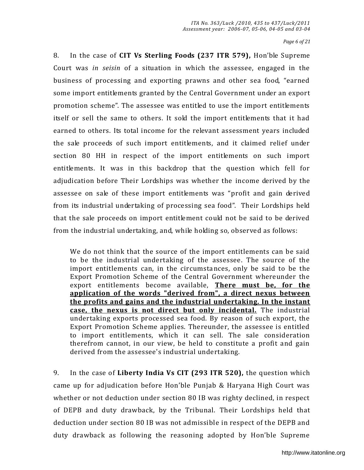*Page 6 of 21*

8. In the case of CIT Vs Sterling Foods (237 ITR 579), Hon'ble Supreme Court was *in seisin* of a situation in which the assessee, engaged in the business of processing and exporting prawns and other sea food, "earned some import entitlements granted by the Central Government under an export promotion scheme". The assessee was entitled to use the import entitlements itself or sell the same to others. It sold the import entitlements that it had earned to others. Its total income for the relevant assessment years included the sale proceeds of such import entitlements, and it claimed relief under section 80 HH in respect of the import entitlements on such import entitlements. It was in this backdrop that the question which fell for adjudication before Their Lordships was whether the income derived by the assessee on sale of these import entitlements was "profit and gain derived from its industrial undertaking of processing sea food". Their Lordships held that the sale proceeds on import entitlement could not be said to be derived from the industrial undertaking, and, while holding so, observed as follows:

We do not think that the source of the import entitlements can be said to be the industrial undertaking of the assessee. The source of the import entitlements can, in the circumstances, only be said to be the Export Promotion Scheme of the Central Government whereunder the export entitlements become available, **There must be, for the application of the words "derived from", a direct nexus between the profits and gains and the industrial undertaking. In the instant case, the nexus is not direct but only incidental.** The industrial undertaking exports processed sea food. By reason of such export, the Export Promotion Scheme applies. Thereunder, the assessee is entitled to import entitlements, which it can sell. The sale consideration therefrom cannot, in our view, be held to constitute a profit and gain derived from the assessee's industrial undertaking.

9. In the case of **Liberty India Vs CIT (293 ITR 520),** the question which came up for adjudication before Hon'ble Punjab & Haryana High Court was whether or not deduction under section 80 IB was righty declined, in respect of DEPB and duty drawback, by the Tribunal. Their Lordships held that deduction under section 80 IB was not admissible in respect of the DEPB and duty drawback as following the reasoning adopted by Hon'ble Supreme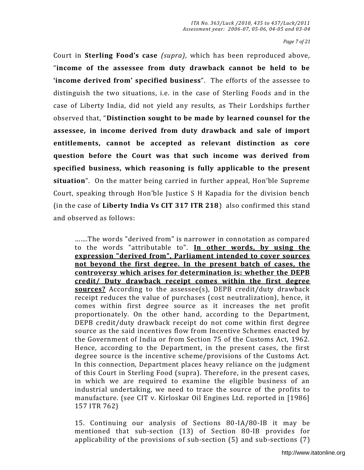*Page 7 of 21*

Court in **Sterling Foodǯs case** *(supra)*, which has been reproduced above, "income of the assessee from duty drawback cannot be held to be **Solute 3** income derived from' specified business<sup>"</sup>. The efforts of the assessee to distinguish the two situations, i.e. in the case of Sterling Foods and in the case of Liberty India, did not yield any results, as Their Lordships further observed that, "Distinction sought to be made by learned counsel for the **assessee, in income derived from duty drawback and sale of import entitlements, cannot be accepted as relevant distinction as core question before the Court was that such income was derived from specified business, which reasoning is fully applicable to the present situation**". On the matter being carried in further appeal, Hon'ble Supreme Court, speaking through Hon'ble Justice S H Kapadia for the division bench (in the case of **Liberty India Vs CIT 317 ITR 218**) also confirmed this stand and observed as follows:

…….The words "derived from" is narrower in connotation as compared to the words "attributable to". **In other words, by using the expression "derived from", Parliament intended to cover sources not beyond the first degree. In the present batch of cases, the controversy which arises for determination is: whether the DEPB credit/ Duty drawback receipt comes within the first degree sources?** According to the assessee(s), DEPB credit/duty drawback receipt reduces the value of purchases (cost neutralization), hence, it comes within first degree source as it increases the net profit proportionately. On the other hand, according to the Department, DEPB credit/duty drawback receipt do not come within first degree source as the said incentives flow from Incentive Schemes enacted by the Government of India or from Section 75 of the Customs Act, 1962. Hence, according to the Department, in the present cases, the first degree source is the incentive scheme/provisions of the Customs Act. In this connection, Department places heavy reliance on the judgment of this Court in Sterling Food (supra). Therefore, in the present cases, in which we are required to examine the eligible business of an industrial undertaking, we need to trace the source of the profits to manufacture. (see CIT v. Kirloskar Oil Engines Ltd. reported in [1986] 157 ITR 762)

15. Continuing our analysis of Sections 80-IA/80-IB it may be mentioned that sub-section (13) of Section 80-IB provides for applicability of the provisions of sub-section (5) and sub-sections (7)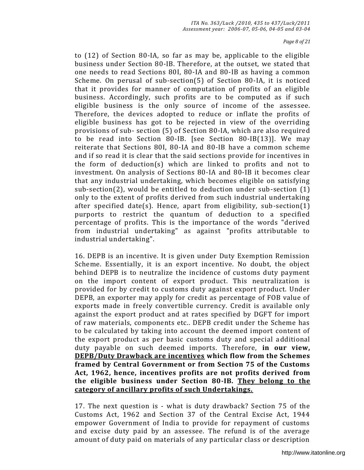to (12) of Section 80-IA, so far as may be, applicable to the eligible business under Section 80-IB. Therefore, at the outset, we stated that one needs to read Sections 80I, 80-IA and 80-IB as having a common Scheme. On perusal of sub-section(5) of Section 80-IA, it is noticed that it provides for manner of computation of profits of an eligible business. Accordingly, such profits are to be computed as if such eligible business is the only source of income of the assessee. Therefore, the devices adopted to reduce or inflate the profits of eligible business has got to be rejected in view of the overriding provisions of sub- section (5) of Section 80-IA, which are also required to be read into Section 80-IB. [see Section 80-IB(13)]. We may reiterate that Sections 80I, 80-IA and 80-IB have a common scheme and if so read it is clear that the said sections provide for incentives in the form of deduction(s) which are linked to profits and not to investment. On analysis of Sections 80-IA and 80-IB it becomes clear that any industrial undertaking, which becomes eligible on satisfying sub-section(2), would be entitled to deduction under sub-section (1) only to the extent of profits derived from such industrial undertaking after specified date(s). Hence, apart from eligibility, sub-section(1) purports to restrict the quantum of deduction to a specified percentage of profits. This is the importance of the words "derived from industrial undertaking" as against "profits attributable to industrial undertaking".

16. DEPB is an incentive. It is given under Duty Exemption Remission Scheme. Essentially, it is an export incentive. No doubt, the object behind DEPB is to neutralize the incidence of customs duty payment on the import content of export product. This neutralization is provided for by credit to customs duty against export product. Under DEPB, an exporter may apply for credit as percentage of FOB value of exports made in freely convertible currency. Credit is available only against the export product and at rates specified by DGFT for import of raw materials, components etc.. DEPB credit under the Scheme has to be calculated by taking into account the deemed import content of the export product as per basic customs duty and special a dditional duty payable on such deemed imports. Therefore, **in our view, DEPB/Duty Drawback are incentives which flow from the Schemes framed by Central Government or from Section 75 of the Customs Act, 1962, hence, incentives profits are not profits derived from the eligible business under Section 80-IB. They belong to the category of ancillary profits of such Undertakings.**

17. The next question is - what is duty drawback? Section 75 of the Customs Act, 1962 and Section 37 of the Central Excise Act, 1944 empower Government of India to provide for repayment of customs and excise duty paid by an assessee. The refund is of the average amount of duty paid on materials of any particular class or description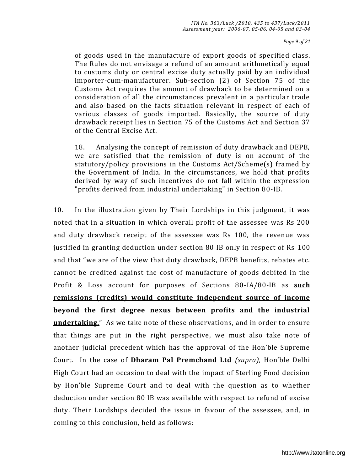of goods used in the manufacture of export goods of specified class. The Rules do not envisage a refund of an amount arithmetically equal to customs duty or central excise duty actually paid by an individual importer-cum-manufacturer. Sub-section (2) of Section 75 of the Customs Act requires the amount of drawback to be determined on a consideration of all the circumstances prevalent in a particular trade and also based on the facts situation relevant in respect of each of various classes of goods imported. Basically, the source of duty drawback receipt lies in Section 75 of the Customs Act and Section 37 of the Central Excise Act.

18. Analysing the concept of remission of duty drawback and DEPB, we are satisfied that the remission of duty is on account of the statutory/policy provisions in the Customs Act/Scheme(s) framed by the Government of India. In the circumstances, we hold that profits derived by way of such incentives do not fall within the expression "profits derived from industrial undertaking" in Section 80-IB.

10. In the illustration given by Their Lordships in this judgment, it was noted that in a situation in which overall profit of the assessee was Rs 200 and duty drawback receipt of the assessee was Rs 100, the revenue was justified in granting deduction under section 80 IB only in respect of Rs 100 and that "we are of the view that duty drawback, DEPB benefits, rebates etc. cannot be credited against the cost of manufacture of goods debited in the Profit & Loss account for purposes of Sections 80-IA/80-IB as **such remissions (credits) would constitute independent source of income beyond the first degree nexus between profits and the industrial undertaking.**" As we take note of these observations, and in order to ensure that things are put in the right perspective, we must also take note of another judicial precedent which has the approval of the Hon'ble Supreme Court. In the case of **Dharam Pal Premchand Ltd** *(supra)*, Hon'ble Delhi High Court had an occasion to deal with the impact of Sterling Food decision by Hon'ble Supreme Court and to deal with the question as to whether deduction under section 80 IB was available with respect to refund of excise duty. Their Lordships decided the issue in favour of the assessee, and, in coming to this conclusion, held as follows: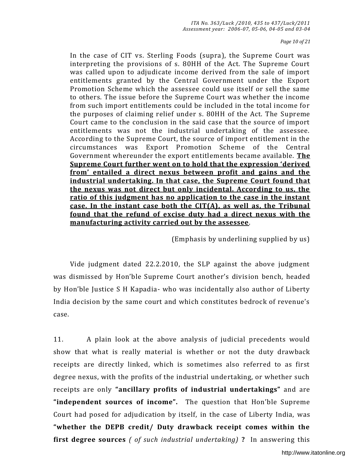*Page 10 of 21*

In the case of CIT vs. Sterling Foods (supra), the Supreme Court was interpreting the provisions of s. 80HH of the Act. The Supreme Court was called upon to adjudicate income derived from the sale of import entitlements granted by the Central Government under the Export Promotion Scheme which the assessee could use itself or sell the same to others. The issue before the Supreme Court was whether the income from such import entitlements could be included in the total income for the purposes of claiming relief under s. 80HH of the Act. The S upreme Court came to the conclusion in the said case that the source of import entitlements was not the industrial undertaking of the assessee. According to the Supreme Court, the source of import entitlement in the circumstances was Export Promotion Scheme of the Central Government whereunder the export entitlements became available. **The**  Supreme Court further went on to hold that the expression 'derived **fromǯ entailed a direct nexus between profit and gains and the industrial undertaking. In that case, the Supreme Court found that the nexus was not direct but only incidental. According to us, the ratio of this judgment has no application to the case in the instant case. In the instant case both the CIT(A), as well as, the Tribunal found that the refund of excise duty had a direct nexus with the manufacturing activity carried out by the assessee**.

(Emphasis by underlining supplied by us)

 Vide judgment dated 22.2.2010, the SLP against the above judgment was dismissed by Hon'ble Supreme Court another's division bench, headed by Hon'ble Justice S H Kapadia- who was incidentally also author of Liberty India decision by the same court and which constitutes bedrock of revenue's case.

11. A plain look at the above analysis of judicial precedents would show that what is really material is whether or not the duty drawback receipts are directly linked, which is sometimes also referred to as first degree nexus, with the profits of the industrial undertaking, or whether such receipts are only "**ancillary profits of industrial undertakings**" and are "independent sources of income". The question that Hon'ble Supreme Court had posed for adjudication by itself, in the case of Liberty India, was "whether the DEPB credit/ Duty drawback receipt comes within the **first degree sources** *( of such industrial undertaking)* **?** In answering this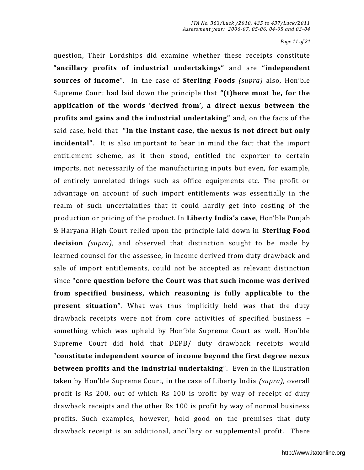*Page 11 of 21*

question, Their Lordships did examine whether these receipts constitute **"ancillary profits of industrial undertakings"** and are "independent **sources of income**". In the case of **Sterling Foods** *(supra)* also, Hon'ble Supreme Court had laid down the principle that "(t) here must be, for the **application of the words Ǯderived fromǯ, a direct nexus between the profits and gains and the industrial undertaking**" and, on the facts of the said case, held that "In the instant case, the nexus is not direct but only **incidental**". It is also important to bear in mind the fact that the import entitlement scheme, as it then stood, entitled the exporter to certain imports, not necessarily of the manufacturing inputs but even, for example, of entirely unrelated things such as office equipments etc. The profit or advantage on account of such import entitlements was essentially in the realm of such uncertainties that it could hardly get into costing of the production or pricing of the product. In Liberty India's case, Hon'ble Punjab & Haryana High Court relied upon the principle laid down in **Sterling Food decision** *(supra)*, and observed that distinction sought to be made by learned counsel for the assessee, in income derived from duty drawback and sale of import entitlements, could not be accepted as relevant distinction since "core question before the Court was that such income was derived **from specified business, which reasoning is fully applicable to the present situation**". What was thus implicitly held was that the duty drawback receipts were not from core activities of specified business – something which was upheld by Hon'ble Supreme Court as well. Hon'ble Supreme Court did hold that DEPB/ duty drawback receipts would "constitute independent source of income beyond the first degree nexus **between profits and the industrial undertaking**". Even in the illustration taken by Hon'ble Supreme Court, in the case of Liberty India *(supra)*, overall profit is Rs 200, out of which Rs 100 is profit by way of receipt of duty drawback receipts and the other Rs 100 is profit by way of normal business profits. Such examples, however, hold good on the premises that duty drawback receipt is an additional, ancillary or supplemental profit. There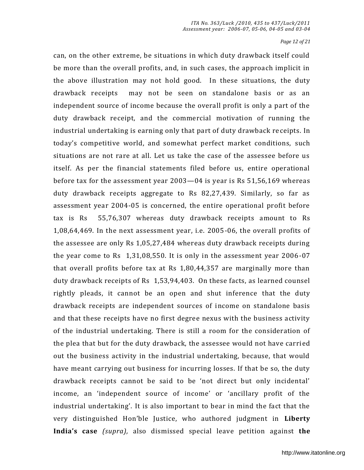*Page 12 of 21*

can, on the other extreme, be situations in which duty drawback itself could be more than the overall profits, and, in such cases, the approach implicit in the above illustration may not hold good. In these situations, the duty drawback receipts may not be seen on standalone basis or as an independent source of income because the overall profit is only a part of the duty drawback receipt, and the commercial motivation of running the industrial undertaking is earning only that part of duty drawback re ceipts. In todayǯs competitive world, and somewhat perfect market conditions, such situations are not rare at all. Let us take the case of the assessee before us itself. As per the financial statements filed before us, entire operational before tax for the assessment year 2003—04 is year is Rs 51,56,169 whereas duty drawback receipts aggregate to Rs 82,27,439. Similarly, so far as assessment year 2004-05 is concerned, the entire operational profit before tax is Rs 55,76,307 whereas duty drawback receipts amount to Rs 1,08,64,469. In the next assessment year, i.e. 2005-06, the overall profits of the assessee are only Rs 1,05,27,484 whereas duty drawback receipts during the year come to Rs 1,31,08,550. It is only in the assessment year 2006 -07 that overall profits before tax at Rs 1,80,44,357 are marginally more than duty drawback receipts of Rs 1,53,94,403. On these facts, as learned counsel rightly pleads, it cannot be an open and shut inference that the duty drawback receipts are independent sources of income on standalone basis and that these receipts have no first degree nexus with the business activity of the industrial undertaking. There is still a room for the consideration of the plea that but for the duty drawback, the assessee would not have carri ed out the business activity in the industrial undertaking, because, that would have meant carrying out business for incurring losses. If that be so, the duty drawback receipts cannot be said to be 'not direct but only incidental' income, an 'independent source of income' or 'ancillary profit of the industrial undertaking'. It is also important to bear in mind the fact that the very distinguished Hon'ble Justice, who authored judgment in Liberty **)ndiaǯs case** *(supra),* also dismissed special leave petition against **the**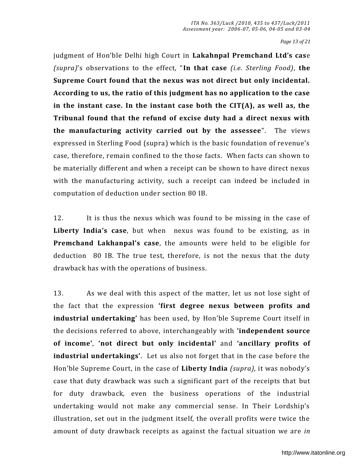*Page 13 of 21*

judgment of Hon'ble Delhi high Court in Lakahnpal Premchand Ltd's case *(supra)*ǯs observations to the effect, Dz**In that case** *(i.e. Sterling Food)*, **the Supreme Court found that the nexus was not direct but only incidental. According to us, the ratio of this judgment has no application to the case in the instant case. In the instant case both the CIT(A), as well as, the Tribunal found that the refund of excise duty had a direct nexus with the manufacturing activity carried out by the assessee".** The views expressed in Sterling Food (supra) which is the basic foundation of revenue's case, therefore, remain confined to the those facts. When facts can shown to be materially different and when a receipt can be shown to have direct nexus with the manufacturing activity, such a receipt can indeed be included in computation of deduction under section 80 IB.

12. It is thus the nexus which was found to be missing in the case of Liberty India's case, but when nexus was found to be existing, as in **Premchand Lakhanpal's case**, the amounts were held to be eligible for deduction 80 IB. The true test, therefore, is not the nexus that the duty drawback has with the operations of business.

13. As we deal with this aspect of the matter, let us not lose sight of the fact that the expression **Ǯfirst degree nexus between profits and industrial undertaking'** has been used, by Hon'ble Supreme Court itself in the decisions referred to above, interchangeably with **Ǯindependent source of incomeǯ**, **Ǯnot direct but only incidentalǯ** and **Ǯancillary profits of industrial undertakings'.** Let us also not forget that in the case before the Hon'ble Supreme Court, in the case of **Liberty India** *(supra)*, it was nobody's case that duty drawback was such a significant part of the receipts that but for duty drawback, even the business operations of the industrial undertaking would not make any commercial sense. In Their Lordship's illustration, set out in the judgment itself, the overall profits were twice the amount of duty drawback receipts as against the factual situation we are *in*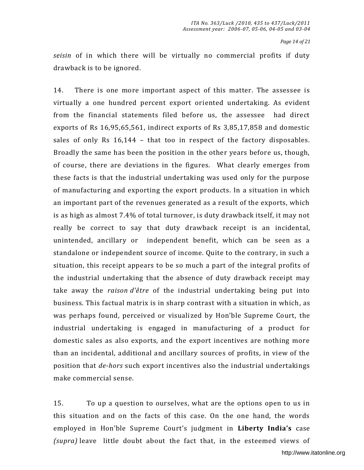*Page 14 of 21*

*seisin* of in which there will be virtually no commercial profits if duty drawback is to be ignored.

14. There is one more important aspect of this matter. The assessee is virtually a one hundred percent export oriented undertaking. As evident from the financial statements filed before us, the assessee had direct exports of Rs 16,95,65,561, indirect exports of Rs 3,85,17,858 and domestic sales of only Rs 16,144 – that too in respect of the factory disposables. Broadly the same has been the position in the other years before us, though, of course, there are deviations in the figures. What clearly emerges from these facts is that the industrial undertaking was used only for the purpose of manufacturing and exporting the export products. In a situation in which an important part of the revenues generated as a result of the exports, which is as high as almost 7.4% of total turnover, is duty drawback itself, it may not really be correct to say that duty drawback receipt is an incidental, unintended, ancillary or independent benefit, which can be seen as a standalone or independent source of income. Quite to the contrary, in such a situation, this receipt appears to be so much a part of the integral profits of the industrial undertaking that the absence of duty drawback receipt may take away the *raison d'être* of the industrial undertaking being put into business. This factual matrix is in sharp contrast with a situation in which , as was perhaps found, perceived or visualized by Hon'ble Supreme Court, the industrial undertaking is engaged in manufacturing of a product for domestic sales as also exports, and the export incentives are nothing more than an incidental, additional and ancillary sources of profits, in view of the position that *de-hors* such export incentives also the industrial undertakings make commercial sense.

15. To up a question to ourselves, what are the options open to us in this situation and on the facts of this case. On the one hand, the words employed in Hon'ble Supreme Court's judgment in **Liberty India's** case *(supra)* leave little doubt about the fact that, in the esteemed views of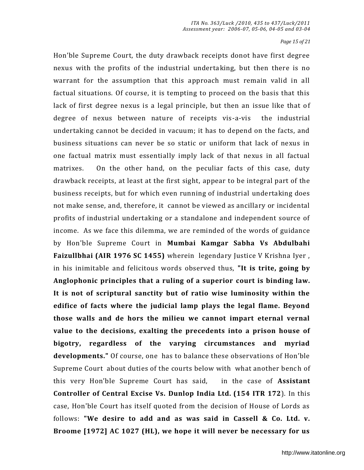*Page 15 of 21*

Hon'ble Supreme Court, the duty drawback receipts donot have first degree nexus with the profits of the industrial undertaking, but then there is no warrant for the assumption that this approach must remain valid in all factual situations. Of course, it is tempting to proceed on the basis that this lack of first degree nexus is a legal principle, but then an issue like that of degree of nexus between nature of receipts vis-a-vis the industrial undertaking cannot be decided in vacuum; it has to depend on the facts, and business situations can never be so static or uniform that lack of nexus in one factual matrix must essentially imply lack of that nexus in all factual matrixes. On the other hand, on the peculiar facts of this case, duty drawback receipts, at least at the first sight, appear to be integral part of the business receipts, but for which even running of industrial undertaking does not make sense, and, therefore, it cannot be viewed as ancillary or incidental profits of industrial undertaking or a standalone and independent source of income. As we face this dilemma, we are reminded of the words of guidance by Hon'ble Supreme Court in **Mumbai Kamgar Sabha Vs Abdulbahi Faizullbhai (AIR 1976 SC 1455)** wherein legendary Justice V Krishna Iyer , in his inimitable and felicitous words observed thus, **"It is trite, going by Anglophonic principles that a ruling of a superior court is binding law. It is not of scriptural sanctity but of ratio wise luminosity within the edifice of facts where the judicial lamp plays the legal flame. Beyond those walls and de hors the milieu we cannot impart eternal vernal value to the decisions, exalting the precedents into a prison house of bigotry, regardless of the varying circumstances and myriad developments."** Of course, one has to balance these observations of Hon'ble Supreme Court about duties of the courts below with what another bench of this very Hon'ble Supreme Court has said, in the case of **Assistant Controller of Central Excise Vs. Dunlop India Ltd. (154 ITR 172**). In this case, Hon'ble Court has itself quoted from the decision of House of Lords as follows: **"We desire to add and as was said in Cassell & Co. Ltd. v. Broome [1972] AC 1027 (HL), we hope it will never be necessary for us**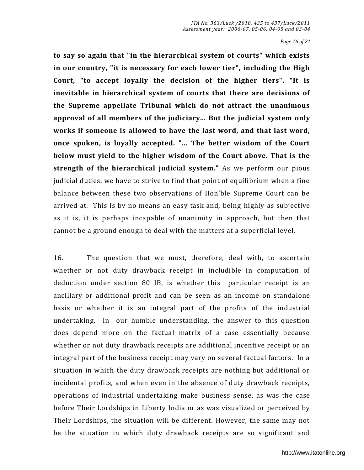*Page 16 of 21*

**to say so again that "in the hierarchical system of courts" which exists in our country, "it is necessary for each lower tier", including the High Court, "to accept loyally the decision of the higher tiers". "It is inevitable in hierarchical system of courts that there are decisions of the Supreme appellate Tribunal which do not attract the unanimous approval of all members of the judiciary... But the judicial system only works if someone is allowed to have the last word, and that last word, once spoken, is loyally accepted. "... The better wisdom of the Court below must yield to the higher wisdom of the Court above. That is the strength of the hierarchical judicial system."** As we perform our pious judicial duties, we have to strive to find that point of equilibrium when a fine balance between these two observations of Hon'ble Supreme Court can be arrived at. This is by no means an easy task and, being highly as subjective as it is, it is perhaps incapable of unanimity in approach, but then that cannot be a ground enough to deal with the matters at a superficial level .

16. The question that we must, therefore, deal with, to ascertain whether or not duty drawback receipt in includible in computation of deduction under section 80 IB, is whether this particular receipt is an ancillary or additional profit and can be seen as an income on standalone basis or whether it is an integral part of the profits of the industrial undertaking. In our humble understanding, the answer to this question does depend more on the factual matrix of a case essentially because whether or not duty drawback receipts are additional incentive receipt or an integral part of the business receipt may vary on several factual factors. In a situation in which the duty drawback receipts are nothing but additional or incidental profits, and when even in the absence of duty drawback receipts, operations of industrial undertaking make business sense, as was the case before Their Lordships in Liberty India or as was visualized or perceived by Their Lordships, the situation will be different. However, the same may not be the situation in which duty drawback receipts are so significant and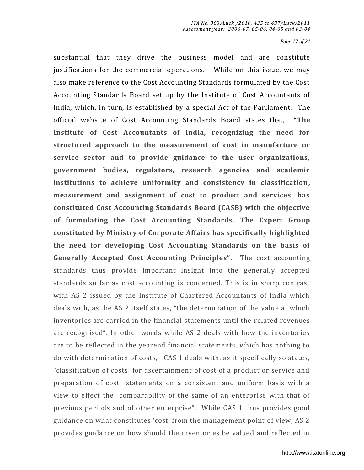*Page 17 of 21*

substantial that they drive the business model and are constitute justifications for the commercial operations. While on this issue, we may also make reference to the Cost Accounting Standards formulated by the Cost Accounting Standards Board set up by the Institute of Cost Accountants of India, which, in turn, is established by a special Act of the Parliament. The official website of Cost Accounting Standards Board states that, "The **Institute of Cost Accountants of India, recognizing the need for structured approach to the measurement of cost in manufacture or service sector and to provide guidance to the user organizations, government bodies, regulators, research agencies and academic institutions to achieve uniformity and consistency in classification, measurement and assignment of cost to product and services, has constituted Cost Accounting Standards Board (CASB) with the objective of formulating the Cost Accounting Standards. The Expert Group constituted by Ministry of Corporate Affairs has specifically highlighted the need for developing Cost Accounting Standards on the basis of Generally Accepted Cost Accounting Principles".** The cost accounting standards thus provide important insight into the generally accepted standards so far as cost accounting is concerned. This is in sharp contrast with AS 2 issued by the Institute of Chartered Accountants of India which deals with, as the AS 2 itself states, "the determination of the value at which inventories are carried in the financial statements until the related revenues are recognised". In other words while AS 2 deals with how the inventories are to be reflected in the yearend financial statements, which has nothing to do with determination of costs, CAS 1 deals with, as it specifically so states, "classification of costs for ascertainment of cost of a product or service and preparation of cost statements on a consistent and uniform basis with a view to effect the comparability of the same of an enterprise with that of previous periods and of other enterprise". While CAS 1 thus provides good guidance on what constitutes 'cost' from the management point of view, AS 2 provides guidance on how should the inventories be valued and reflected in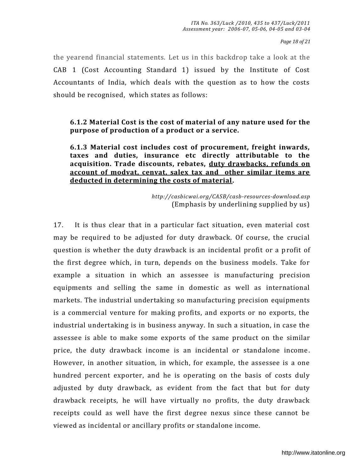*Page 18 of 21*

the yearend financial statements. Let us in this backdrop take a look at the CAB 1 (Cost Accounting Standard 1) issued by the Institute of Cost Accountants of India, which deals with the question as to how the costs should be recognised, which states as follows:

**6.1.2 Material Cost is the cost of material of any nature used for the purpose of production of a product or a service.** 

**6.1.3 Material cost includes cost of procurement, freight inwards, taxes and duties, insurance etc directly attributable to the acquisition. Trade discounts, rebates, duty drawbacks, refunds on account of modvat, cenvat, salex tax and other similar items are deducted in determining the costs of material.** 

> *<http://casbicwai.org/CASB/casb-resources-download.asp>* (Emphasis by underlining supplied by us)

17. It is thus clear that in a particular fact situation, even material cost may be required to be adjusted for duty drawback. Of course, the crucial question is whether the duty drawback is an incidental profit or a p rofit of the first degree which, in turn, depends on the business models. Take for example a situation in which an assessee is manufacturing precision equipments and selling the same in domestic as well as international markets. The industrial undertaking so manufacturing precision equipments is a commercial venture for making profits, and exports or no exports, the industrial undertaking is in business anyway. In such a situation, in case the assessee is able to make some exports of the same product on the similar price, the duty drawback income is an incidental or standalone income. However, in another situation, in which, for example, the assessee is a one hundred percent exporter, and he is operating on the basis of costs duly adjusted by duty drawback, as evident from the fact that but for duty drawback receipts, he will have virtually no profits, the duty drawback receipts could as well have the first degree nexus since these cannot be viewed as incidental or ancillary profits or standalone income.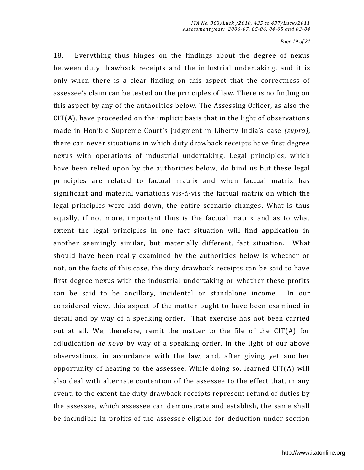*Page 19 of 21*

18. Everything thus hinges on the findings about the degree of nexus between duty drawback receipts and the industrial undertaking, and it is only when there is a clear finding on this aspect that the correctness of assesseeǯs claim can be tested on the principles of law. There is no finding on this aspect by any of the authorities below. The Assessing Officer, as also the CIT(A), have proceeded on the implicit basis that in the light of observations made in Hon'ble Supreme Court's judgment in Liberty India's case *(supra)*, there can never situations in which duty drawback receipts have first degree nexus with operations of industrial undertaking. Legal principles, which have been relied upon by the authorities below, do bind us but these legal principles are related to factual matrix and when factual matrix has significant and material variations vis-à-vis the factual matrix on which the legal principles were laid down, the entire scenario changes. What is thus equally, if not more, important thus is the factual matrix and as to what extent the legal principles in one fact situation will find application in another seemingly similar, but materially different, fact situation. What should have been really examined by the authorities below is whether or not, on the facts of this case, the duty drawback receipts can be said to have first degree nexus with the industrial undertaking or whether these profits can be said to be ancillary, incidental or standalone income. In our considered view, this aspect of the matter ought to have been examined in detail and by way of a speaking order. That exercise has not been carried out at all. We, therefore, remit the matter to the file of the  $CIT(A)$  for adjudication *de novo* by way of a speaking order, in the light of our above observations, in accordance with the law, and, after giving yet another opportunity of hearing to the assessee. While doing so, learned CIT(A) will also deal with alternate contention of the assessee to the effect that, in any event, to the extent the duty drawback receipts represent refund of duties by the assessee, which assessee can demonstrate and establish, the same shall be includible in profits of the assessee eligible for deduction under section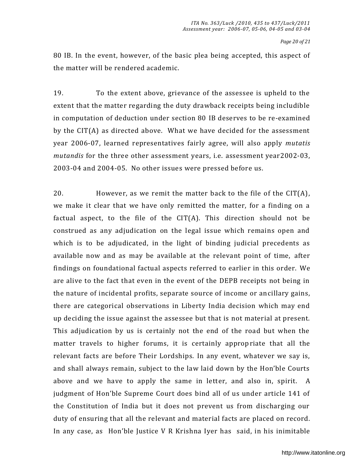*Page 20 of 21*

80 IB. In the event, however, of the basic plea being accepted, this aspect of the matter will be rendered academic.

19. To the extent above, grievance of the assessee is upheld to the extent that the matter regarding the duty drawback receipts being includible in computation of deduction under section 80 IB deserves to be re-examined by the CIT(A) as directed above. What we have decided for the assessment year 2006-07, learned representatives fairly agree, will also apply *mutatis mutandis* for the three other assessment years, i.e. assessment year2002-03, 2003-04 and 2004-05. No other issues were pressed before us.

20. However, as we remit the matter back to the file of the CIT(A), we make it clear that we have only remitted the matter, for a finding on a factual aspect, to the file of the  $CIT(A)$ . This direction should not be construed as any adjudication on the legal issue which remains open and which is to be adjudicated, in the light of binding judicial precedents as available now and as may be available at the relevant point of time, after findings on foundational factual aspects referred to earlier in this order. We are alive to the fact that even in the event of the DEPB receipts not being in the nature of incidental profits, separate source of income or an cillary gains, there are categorical observations in Liberty India decision which may end up deciding the issue against the assessee but that is not material at present. This adjudication by us is certainly not the end of the road but when the matter travels to higher forums, it is certainly appropriate that all the relevant facts are before Their Lordships. In any event, whatever we say is, and shall always remain, subject to the law laid down by the Hon'ble Courts above and we have to apply the same in letter, and also in, spirit. A judgment of Hon'ble Supreme Court does bind all of us under article 141 of the Constitution of India but it does not prevent us from discharging our duty of ensuring that all the relevant and material facts are placed on record. In any case, as Hon'ble Justice V R Krishna Iyer has said, in his inimitable